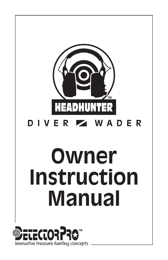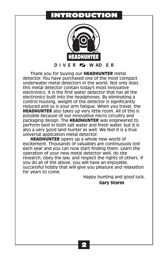### INTRODUCTION



Thank you for buying our **HEADHUNTER** metal detector. You have purchased one of the most compact underwater metal detectors in the world. Not only does this metal detector contain today's most innovative electronics, it is the first water detector that has all the electronics built into the headphones. By eliminating a control housing, weight of the detector is significantly reduced and so is your arm fatigue. When you travel, the **HEADHUNTER** also takes up very little room. All of this is possible because of our innovative micro circuitry and packaging design. The **HEADHUNTER** was engineered to perform best in both salt water and fresh water, but it is also a very good land hunter as well. We feel it is a true universal application metal detector.

**HEADHUNTER** opens up a whole new world of excitement. Thousands of valuables are continuously lost each year and you can now start finding them. Learn the operation of your new metal detector well, do site research, obey the law, and respect the rights of others. If you do all of the above, you will have an enjoyable, successful hobby that will give you pleasure and relaxation for years to come.

Happy hunting and good luck,

**Gary Storm**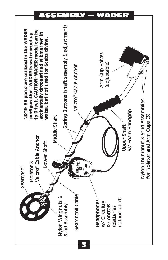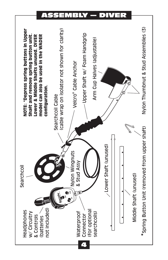ASSEMBLY — DIVER

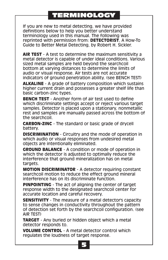# TERMINOLOGY

If you are new to metal detecting, we have provided definitions below to help you better understand terminology used in this manual. The following was reprinted with permission from: **DETECTORIST**, A How-To Guide to Better Metal Detecting, by Robert H. Sickler.

**AIR TEST** - A test to determine the maximum sensitivity a metal detector is capable of under ideal conditions. Various sized metal samples are held beyond the searchcoil bottom at varying distances to determine the limits of audio or visual response. Air tests are not accurate indicators of ground penetration ability. (see BENCH TEST)

**ALKALINE** - A grade of battery composition which sustains higher current drain and possesses a greater shelf life than basic carbon-zinc types.

**BENCH TEST** - Another form of air test used to define which discriminate settings accept or reject various target samples. Detector is placed upon a stationary, nonmetallic rest and samples are manually passed across the bottom of the searchcoil.

**CARBON-ZINC** - The standard or basic grade of drycell battery.

**DISCRIMINATION** - Circuitry and the mode of operation in which audio or visual responses from undesired metal objects are intentionally eliminated.

**GROUND BALANCE** - A condition or mode of operation in which the detector is adjusted to optimally reduce the interference that ground mineralization has on metal targets.

**MOTION DISCRIMINATOR** - A detector requiring constant searchcoil motion to reduce the effect ground mineral interference has on its discriminate function.

**PINPOINTING** - The act of aligning the center of target response width to the designated searchcoil center for accurate location and careful recovery.

**SENSITIVITY** - The measure of a metal detector's capacity to sense changes in conductivity throughout the pattern of detection set forth by the searchcoil configuration. (see AIR TEST)

**TARGET** - Any buried or hidden object which a metal detector responds to.

**VOLUME CONTROL** - A metal detector control which regulates the loudness of target response.

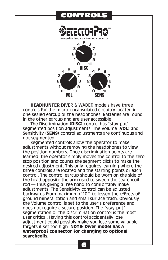## **ONTROLS**



**HEADHUNTER** DIVER & WADER models have three controls for the micro-encapsulated circuitry located in one sealed earcup of the headphones. Batteries are found in the other earcup and are user accessible.

The Discrimination (**DISC**) control has "stay-put" segmented position adjustments. The Volume (**VOL**) and Sensitivity (**SENS**) control adjustments are continuous and not segmented.

Segmented controls allow the operator to make adjustments without removing the headphones to view the position numbers. Once discrimination points are learned, the operator simply moves the control to the zero stop position and counts the segment clicks to make the desired adjustment. This only requires learning where the three controls are located and the starting points of each control. The control earcup should be worn on the side of the head opposite the arm used to sweep the searchcoil rod — thus giving a free hand to comfortably make adjustments. The Sensitivity control can be adjusted backwards from maximum ("10") to lessen the effects of ground mineralization and small surface trash. Obviously the Volume control is set to the user's preference and does not require a secure position. The "stay-put" segmentation of the Discrimination control is the most user critical. Having this control accidentally lose adjustment could possibly make you lose some valuable targets if set too high. **NOTE: Diver model has a waterproof connector for changing to optional searchcoils.**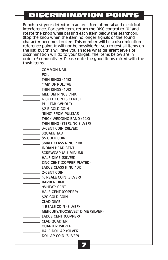# DISCRIMINATION POINTS

Bench test your detector in an area free of metal and electrical interference. For each item, return the DISC control to "0" and rotate the knob while passing each item below the searchcoil. Stop the knob when the item no longer signals or the sound character becomes broken. This number will be a discrimination reference point. It will not be possible for you to test all items on the list, but this will give you an idea what different levels of discrimination will do to your target. The items below are in order of conductivity. Please note the good items mixed with the trash items.

- **COMMON NAIL**
- **FOIL**
- **THIN RINGS (14K)**
- **TAB**" OF PULLTAB
- **Example 11 THIN RINGS (10K)**
- **MEDIUM RINGS (14K)**
- NICKEL COIN (5 CENTS)
- **PULLTAB (WHOLE)**
- **\$2.5 GOLD COIN**
- **EXAMPLE TRING" FROM PULLTAB**
- **THICK WEDDING BAND (14K)**
- **THIN RING (STERLING SILVER)**
- **3-CENT COIN (SILVER)**
- SQUARE TAB
- **Example 25 GOLD COIN**
- SMALL CLASS RING (10K)
- **INDIAN HEAD CENT**
- SCREWCAP (ALUMINUM)
- **HALF-DIME (SILVER)**
- **EXAMPLE 21NC CENT (COPPER PLATED)**
- LARGE CLASS RING 10K
- 2-CENT COIN
- ½ REALE COIN (SILVER)
- **BARBER DIME**
- **WHEAT**" CENT
- HALF-CENT (COPPER)
- \_\_\_\_\_\_\_\_\_\_\_\_\_\_ \$20 GOLD COIN
- CLAD DIME
- 1 REALE COIN (SILVER)
- **MERCURY/ROOSEVELT DIME (SILVER)**
- LARGE CENT (COPPER)
- **CLAD QUARTER**
- **QUARTER (SILVER)** 
	- **HALF-DOLLAR (SILVER)**
- DOLLAR COIN (SILVER)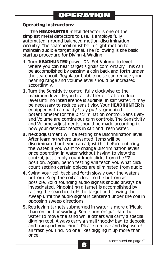### **Operating Instructions:**

The **HEADHUNTER** metal detector is one of the simplest metal detectors to use. It employs fully automated, ground balanced motion-discrimination circuitry. The searchcoil must be in slight motion to maintain audible target signal. The following is the basic startup procedure for Diving & Wading.

- **1.** Turn **HEADHUNTER** power ON. Set Volume to level where you can hear target signals comfortably. This can be accomplished by passing a coin back and forth under the searchcoil. Regulator bubble noise can reduce your hearing range and volume level should be increased accordingly.
- **2.** Turn the Sensitivity control fully clockwise to the maximum level. If you hear chatter or static, reduce level until no interference is audible. In salt water, it may be necessary to reduce sensitivity. Your **HEADHUNTER** is equipped with a quality "stay put" segmented potentiometer for the Discrimination control. Sensitivity and Volume are continuous turn controls. The Sensitivity and Volume adjustments should be made according to how your detector reacts in salt and fresh water.
- **3.** Next adjustment will be setting the Discrimination level. After learning where unwanted items will be discriminated out, you can adjust this before entering the water. If you want to change Discrimination levels once operating in water without having to view the control, just simply count knob clicks from the "0" position. Again, bench testing will teach you what click count setting certain objects are eliminated from audio.
- **4.** Swing your coil back and forth slowly over the water's bottom. Keep the coil as close to the bottom as possible. Solid sounding audio signals should always be investigated. Pinpointing a target is accomplished by raising the searchcoil off the target and slowing the sweep until the audio signal is centered under the coil in opposing sweep directions.
- **5.** Retrieving targets submerged in water is more difficult than on land or wading. Some hunters just fan the water to move the sand while others will carry a special digging tool. Always carry a small "goody" bag to deposit and transport your finds. Please remove and dispose of all trash you find. No one likes digging it up more than once!

(continued on page 9)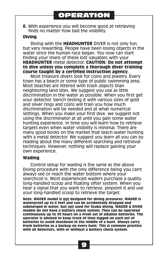**6.** With experience you will become good at retrieving finds no matter how bad the visibility.

### **Diving**

Diving with the **HEADHUNTER** DIVER is not only fun, but very rewarding. People have been losing objects in the water since the human race began. You now can start finding your share of these lost valuables with your **HEADHUNTER** metal detector. **CAUTION: Do not attempt to dive unless you complete a thorough diver training course taught by a certified instruction agency.**

Most treasure divers look for coins and jewelry. Every town has a beach or some type of public swimming area. Most beaches are littered with trash objects than neighboring land sites. We suggest you use as little discrimination in the water as possible. When you first get your detector, bench testing it with various sizes of gold and silver rings and coins will train you how much discrimination will be needed and at what numerical settings. When you make your first dive, we suggest not using the discriminator at all until you gain some water hunting experience. In time you will learn how to retrieve targets even when water visibility is minimal. There are many good books on the market that teach water hunting with a metal detector. We suggest you learn all you can by reading about the many different searching and retrieval techniques. However, nothing will replace gaining your own experience.

#### **Wading**

Control setup for wading is the same as the above Diving procedure with the only difference being you can't always see or reach the water bottom where your searchcoil is. Most experienced waders purchase a quality long-handled scoop and floating sifter system. When you hear a signal that you want to retrieve, pinpoint it and use your long-handled scoop to retrieve the target.

**Note: WADER model is not designed for diving pressures. WADER is waterproof up to 6 feet and can be accidentally dropped and submerged in water, but not used for Scuba diving. WADER & DIVER models do not have a battery check system. They can be operated continuously up to 50 hours on a fresh set of alkaline batteries. The operator is advised to keep track of time logged on each set of batteries to avoid shutdown in the middle of a hunt. Always carry fresh batteries as a backup on every hunt. This is common practice with all detectors, with or without a battery check system.**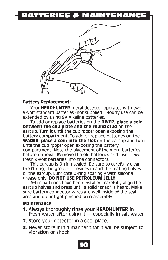## BATTERIES & MAINTENANCE



#### **Battery Replacement:**

Your **HEADHUNTER** metal detector operates with two, 9-volt standard batteries (not supplied). Hourly use can be extended by using 9V Alkaline batteries.

To add or replace batteries on the **DIVER**, **place a coin between the cup plate and the round stud** on the earcup. Turn it until the cup "pops" open exposing the battery compartment. To add or replace batteries on the **WADER**, **place a coin into the slot** on the earcup and turn until the cup "pops" open exposing the battery compartment. Note the placement of the worn batteries before removal. Remove the old batteries and insert two fresh 9-Volt batteries into the connectors.

This earcup is O-ring sealed. Be sure to carefully clean the O-ring, the groove it resides in and the mating halves of the earcup. Lubricate O-ring sparingly with silicone grease only. **DO NOT USE PETROLEUM JELLY**.

After batteries have been installed, carefully align the earcup halves and press until a solid "snap" is heard. Make sure battery connector wires are well inside of the seal area and do not get pinched on reassembly.

#### **Maintenance:**

- **1.** Always thoroughly rinse your **HEADHUNTER** in fresh water after using it — especially in salt water.
- **2.** Store your detector in a cool place.
- **3.** Never store it in a manner that it will be subject to vibration or shock.

10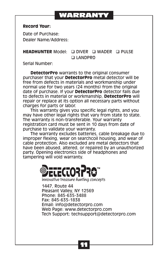# WARRANTY

### **Record Your:**

Date of Purchase: Dealer Name/Address:

### **HEADHUNTER** Model: Q DIVER Q WADER Q PULSE q LANDPRO

Serial Number:

**DetectorPro** warrants to the original consumer purchaser that your **DetectorPro** metal detector will be free from defects in materials and workmanship under normal use for two years (24 months) from the original date of purchase. If your **DetectorPro** detector fails due to defects in material or workmanship, **DetectorPro** will repair or replace at its option all necessary parts without charges for parts or labor.

This warranty gives you specific legal rights, and you may have other legal rights that vary from state to state. The warranty is non-transferable. Your warranty registration card must be sent in 10 days from date of purchase to validate your warranty.

The warranty excludes batteries, cable breakage due to improper flexing, wear on searchcoil housing, and wear of cable protection. Also excluded are metal detectors that have been abused, altered, or repaired by an unauthorized party. Opening electronics side of headphones and tampering will void warranty.



**innovative treasure hunting concepts**

1447, Route 44 Pleasant Valley, NY 12569 Phone: 845-635-3488 Fax: 845-635-1838 Email: info@detectorpro.com Web Page: www.detectorpro.com Tech Support: techsupport@detectorpro.com